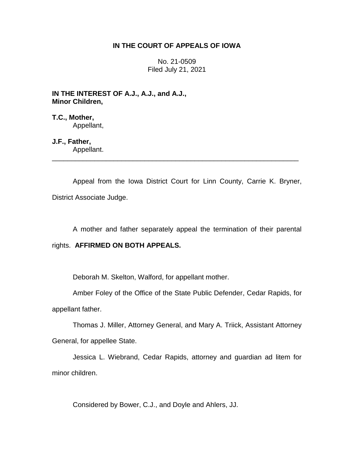## **IN THE COURT OF APPEALS OF IOWA**

No. 21-0509 Filed July 21, 2021

**IN THE INTEREST OF A.J., A.J., and A.J., Minor Children,**

**T.C., Mother,** Appellant,

**J.F., Father,**

Appellant. \_\_\_\_\_\_\_\_\_\_\_\_\_\_\_\_\_\_\_\_\_\_\_\_\_\_\_\_\_\_\_\_\_\_\_\_\_\_\_\_\_\_\_\_\_\_\_\_\_\_\_\_\_\_\_\_\_\_\_\_\_\_\_\_

Appeal from the Iowa District Court for Linn County, Carrie K. Bryner, District Associate Judge.

A mother and father separately appeal the termination of their parental

## rights. **AFFIRMED ON BOTH APPEALS.**

Deborah M. Skelton, Walford, for appellant mother.

Amber Foley of the Office of the State Public Defender, Cedar Rapids, for appellant father.

Thomas J. Miller, Attorney General, and Mary A. Triick, Assistant Attorney General, for appellee State.

Jessica L. Wiebrand, Cedar Rapids, attorney and guardian ad litem for minor children.

Considered by Bower, C.J., and Doyle and Ahlers, JJ.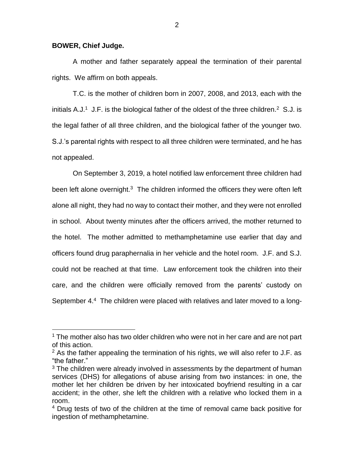## **BOWER, Chief Judge.**

 $\overline{a}$ 

A mother and father separately appeal the termination of their parental rights. We affirm on both appeals.

T.C. is the mother of children born in 2007, 2008, and 2013, each with the initials A.J.<sup>1</sup> J.F. is the biological father of the oldest of the three children.<sup>2</sup> S.J. is the legal father of all three children, and the biological father of the younger two. S.J.'s parental rights with respect to all three children were terminated, and he has not appealed.

On September 3, 2019, a hotel notified law enforcement three children had been left alone overnight.<sup>3</sup> The children informed the officers they were often left alone all night, they had no way to contact their mother, and they were not enrolled in school. About twenty minutes after the officers arrived, the mother returned to the hotel. The mother admitted to methamphetamine use earlier that day and officers found drug paraphernalia in her vehicle and the hotel room. J.F. and S.J. could not be reached at that time. Law enforcement took the children into their care, and the children were officially removed from the parents' custody on September 4.<sup>4</sup> The children were placed with relatives and later moved to a long-

<sup>1</sup> The mother also has two older children who were not in her care and are not part of this action.

 $2$  As the father appealing the termination of his rights, we will also refer to J.F. as "the father."

 $3$  The children were already involved in assessments by the department of human services (DHS) for allegations of abuse arising from two instances: in one, the mother let her children be driven by her intoxicated boyfriend resulting in a car accident; in the other, she left the children with a relative who locked them in a room.

<sup>&</sup>lt;sup>4</sup> Drug tests of two of the children at the time of removal came back positive for ingestion of methamphetamine.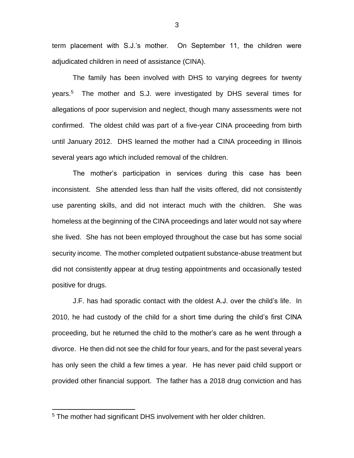term placement with S.J.'s mother. On September 11, the children were adjudicated children in need of assistance (CINA).

The family has been involved with DHS to varying degrees for twenty years.<sup>5</sup> The mother and S.J. were investigated by DHS several times for allegations of poor supervision and neglect, though many assessments were not confirmed. The oldest child was part of a five-year CINA proceeding from birth until January 2012. DHS learned the mother had a CINA proceeding in Illinois several years ago which included removal of the children.

The mother's participation in services during this case has been inconsistent. She attended less than half the visits offered, did not consistently use parenting skills, and did not interact much with the children. She was homeless at the beginning of the CINA proceedings and later would not say where she lived. She has not been employed throughout the case but has some social security income. The mother completed outpatient substance-abuse treatment but did not consistently appear at drug testing appointments and occasionally tested positive for drugs.

J.F. has had sporadic contact with the oldest A.J. over the child's life. In 2010, he had custody of the child for a short time during the child's first CINA proceeding, but he returned the child to the mother's care as he went through a divorce. He then did not see the child for four years, and for the past several years has only seen the child a few times a year. He has never paid child support or provided other financial support. The father has a 2018 drug conviction and has

 $\overline{a}$ 

<sup>&</sup>lt;sup>5</sup> The mother had significant DHS involvement with her older children.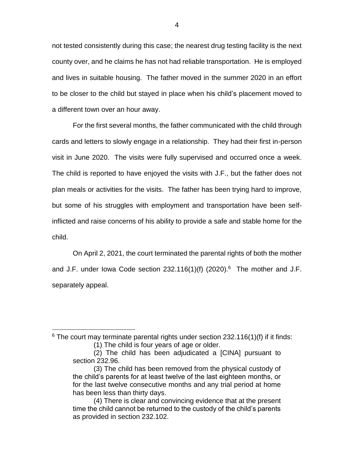not tested consistently during this case; the nearest drug testing facility is the next county over, and he claims he has not had reliable transportation. He is employed and lives in suitable housing. The father moved in the summer 2020 in an effort to be closer to the child but stayed in place when his child's placement moved to a different town over an hour away.

For the first several months, the father communicated with the child through cards and letters to slowly engage in a relationship. They had their first in-person visit in June 2020. The visits were fully supervised and occurred once a week. The child is reported to have enjoyed the visits with J.F., but the father does not plan meals or activities for the visits. The father has been trying hard to improve, but some of his struggles with employment and transportation have been selfinflicted and raise concerns of his ability to provide a safe and stable home for the child.

On April 2, 2021, the court terminated the parental rights of both the mother and J.F. under lowa Code section  $232.116(1)(f)$  (2020).<sup>6</sup> The mother and J.F. separately appeal.

 $6$  The court may terminate parental rights under section 232.116(1)(f) if it finds:

 $\overline{a}$ 

<sup>(1)</sup> The child is four years of age or older.

<sup>(2)</sup> The child has been adjudicated a [CINA] pursuant to section 232.96.

<sup>(3)</sup> The child has been removed from the physical custody of the child's parents for at least twelve of the last eighteen months, or for the last twelve consecutive months and any trial period at home has been less than thirty days.

<sup>(4)</sup> There is clear and convincing evidence that at the present time the child cannot be returned to the custody of the child's parents as provided in section 232.102.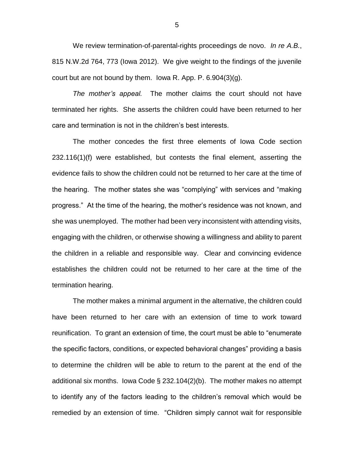We review termination-of-parental-rights proceedings de novo. *In re A.B.*, 815 N.W.2d 764, 773 (Iowa 2012). We give weight to the findings of the juvenile court but are not bound by them. Iowa R. App. P.  $6.904(3)(g)$ .

*The mother's appeal.* The mother claims the court should not have terminated her rights. She asserts the children could have been returned to her care and termination is not in the children's best interests.

The mother concedes the first three elements of Iowa Code section 232.116(1)(f) were established, but contests the final element, asserting the evidence fails to show the children could not be returned to her care at the time of the hearing. The mother states she was "complying" with services and "making progress." At the time of the hearing, the mother's residence was not known, and she was unemployed. The mother had been very inconsistent with attending visits, engaging with the children, or otherwise showing a willingness and ability to parent the children in a reliable and responsible way. Clear and convincing evidence establishes the children could not be returned to her care at the time of the termination hearing.

The mother makes a minimal argument in the alternative, the children could have been returned to her care with an extension of time to work toward reunification. To grant an extension of time, the court must be able to "enumerate the specific factors, conditions, or expected behavioral changes" providing a basis to determine the children will be able to return to the parent at the end of the additional six months. Iowa Code § 232.104(2)(b). The mother makes no attempt to identify any of the factors leading to the children's removal which would be remedied by an extension of time. "Children simply cannot wait for responsible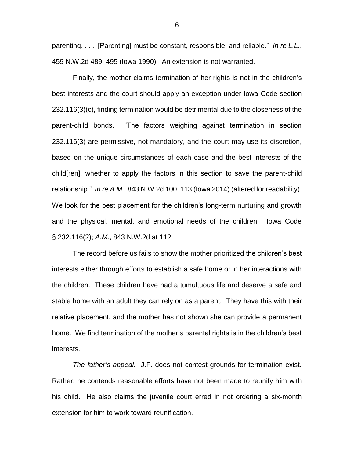parenting. . . . [Parenting] must be constant, responsible, and reliable." *In re L.L.*, 459 N.W.2d 489, 495 (Iowa 1990). An extension is not warranted.

Finally, the mother claims termination of her rights is not in the children's best interests and the court should apply an exception under Iowa Code section 232.116(3)(c), finding termination would be detrimental due to the closeness of the parent-child bonds. "The factors weighing against termination in section 232.116(3) are permissive, not mandatory, and the court may use its discretion, based on the unique circumstances of each case and the best interests of the child[ren], whether to apply the factors in this section to save the parent-child relationship." *In re A.M.*, 843 N.W.2d 100, 113 (Iowa 2014) (altered for readability). We look for the best placement for the children's long-term nurturing and growth and the physical, mental, and emotional needs of the children. Iowa Code § 232.116(2); *A.M.*, 843 N.W.2d at 112.

The record before us fails to show the mother prioritized the children's best interests either through efforts to establish a safe home or in her interactions with the children. These children have had a tumultuous life and deserve a safe and stable home with an adult they can rely on as a parent. They have this with their relative placement, and the mother has not shown she can provide a permanent home. We find termination of the mother's parental rights is in the children's best interests.

*The father's appeal.* J.F. does not contest grounds for termination exist. Rather, he contends reasonable efforts have not been made to reunify him with his child. He also claims the juvenile court erred in not ordering a six-month extension for him to work toward reunification.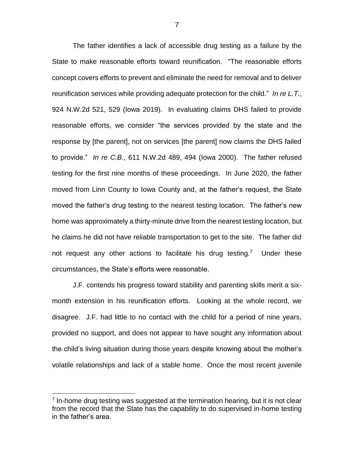The father identifies a lack of accessible drug testing as a failure by the State to make reasonable efforts toward reunification. "The reasonable efforts concept covers efforts to prevent and eliminate the need for removal and to deliver reunification services while providing adequate protection for the child." *In re L.T.*, 924 N.W.2d 521, 529 (Iowa 2019). In evaluating claims DHS failed to provide reasonable efforts, we consider "the services provided by the state and the response by [the parent], not on services [the parent] now claims the DHS failed to provide." *In re C.B.*, 611 N.W.2d 489, 494 (Iowa 2000). The father refused testing for the first nine months of these proceedings. In June 2020, the father moved from Linn County to Iowa County and, at the father's request, the State moved the father's drug testing to the nearest testing location. The father's new home was approximately a thirty-minute drive from the nearest testing location, but he claims he did not have reliable transportation to get to the site. The father did not request any other actions to facilitate his drug testing.<sup>7</sup> Under these circumstances, the State's efforts were reasonable.

J.F. contends his progress toward stability and parenting skills merit a sixmonth extension in his reunification efforts. Looking at the whole record, we disagree. J.F. had little to no contact with the child for a period of nine years, provided no support, and does not appear to have sought any information about the child's living situation during those years despite knowing about the mother's volatile relationships and lack of a stable home. Once the most recent juvenile

 $\overline{a}$ 

 $<sup>7</sup>$  In-home drug testing was suggested at the termination hearing, but it is not clear</sup> from the record that the State has the capability to do supervised in-home testing in the father's area.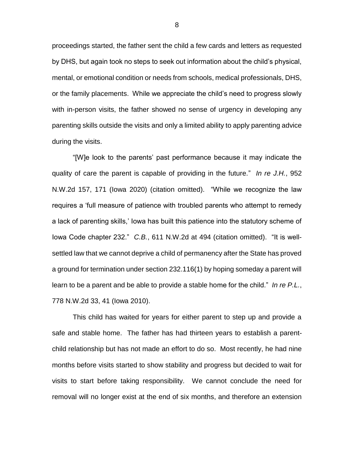proceedings started, the father sent the child a few cards and letters as requested by DHS, but again took no steps to seek out information about the child's physical, mental, or emotional condition or needs from schools, medical professionals, DHS, or the family placements. While we appreciate the child's need to progress slowly with in-person visits, the father showed no sense of urgency in developing any parenting skills outside the visits and only a limited ability to apply parenting advice during the visits.

"[W]e look to the parents' past performance because it may indicate the quality of care the parent is capable of providing in the future." *In re J.H.*, 952 N.W.2d 157, 171 (Iowa 2020) (citation omitted). "While we recognize the law requires a 'full measure of patience with troubled parents who attempt to remedy a lack of parenting skills,' Iowa has built this patience into the statutory scheme of Iowa Code chapter 232." *C.B.*, 611 N.W.2d at 494 (citation omitted). "It is wellsettled law that we cannot deprive a child of permanency after the State has proved a ground for termination under section 232.116(1) by hoping someday a parent will learn to be a parent and be able to provide a stable home for the child." *In re P.L.*, 778 N.W.2d 33, 41 (Iowa 2010).

This child has waited for years for either parent to step up and provide a safe and stable home. The father has had thirteen years to establish a parentchild relationship but has not made an effort to do so. Most recently, he had nine months before visits started to show stability and progress but decided to wait for visits to start before taking responsibility. We cannot conclude the need for removal will no longer exist at the end of six months, and therefore an extension